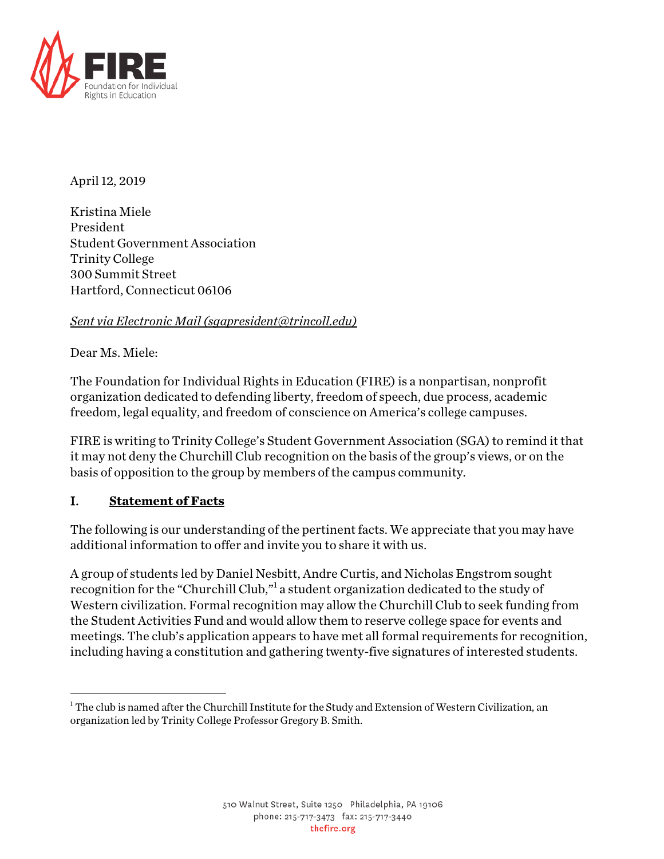

April 12, 2019

Kristina Miele President Student Government Association Trinity College 300 Summit Street Hartford, Connecticut 06106

## *Sent via Electronic Mail (sgapresident@trincoll.edu)*

Dear Ms. Miele:

The Foundation for Individual Rights in Education (FIRE) is a nonpartisan, nonprofit organization dedicated to defending liberty, freedom of speech, due process, academic freedom, legal equality, and freedom of conscience on America's college campuses.

FIRE is writing to Trinity College's Student Government Association (SGA) to remind it that it may not deny the Churchill Club recognition on the basis of the group's views, or on the basis of opposition to the group by members of the campus community.

## I. **Statement of Facts**

The following is our understanding of the pertinent facts. We appreciate that you may have additional information to offer and invite you to share it with us.

A group of students led by Daniel Nesbitt, Andre Curtis, and Nicholas Engstrom sought recognition for the "Churchill Club,"<sup>1</sup> a student organization dedicated to the study of Western civilization. Formal recognition may allow the Churchill Club to seek funding from the Student Activities Fund and would allow them to reserve college space for events and meetings. The club's application appears to have met all formal requirements for recognition, including having a constitution and gathering twenty-five signatures of interested students.

 $\overline{a}$  $^{\rm 1}$  The club is named after the Churchill Institute for the Study and Extension of Western Civilization, an organization led by Trinity College Professor Gregory B. Smith.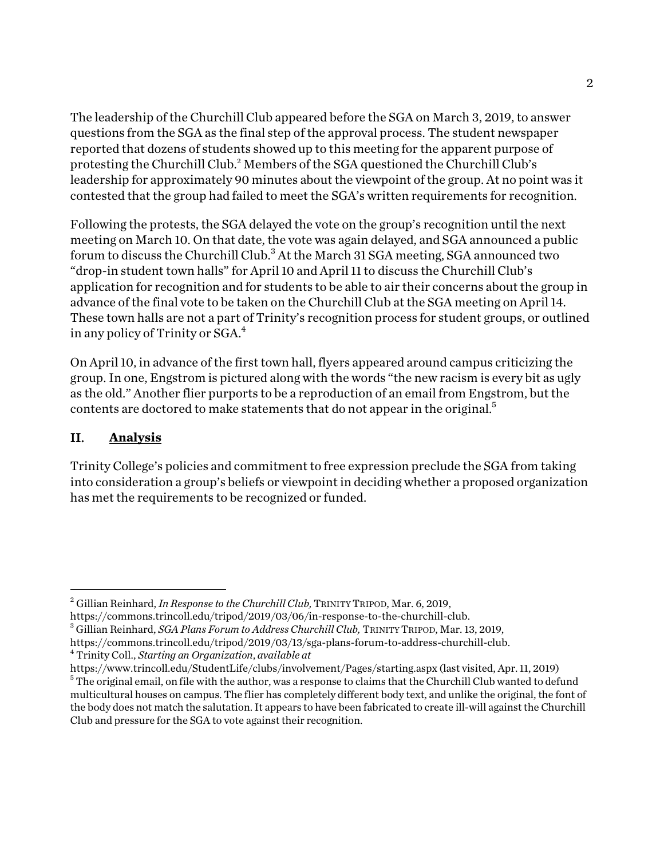The leadership of the Churchill Club appeared before the SGA on March 3, 2019, to answer questions from the SGA as the final step of the approval process. The student newspaper reported that dozens of students showed up to this meeting for the apparent purpose of protesting the Churchill Club.<sup>2</sup> Members of the SGA questioned the Churchill Club's leadership for approximately 90 minutes about the viewpoint of the group. At no point was it contested that the group had failed to meet the SGA's written requirements for recognition.

Following the protests, the SGA delayed the vote on the group's recognition until the next meeting on March 10. On that date, the vote was again delayed, and SGA announced a public forum to discuss the Churchill Club. $^3$  At the March 31 SGA meeting, SGA announced two "drop-in student town halls" for April 10 and April 11 to discuss the Churchill Club's application for recognition and for students to be able to air their concerns about the group in advance of the final vote to be taken on the Churchill Club at the SGA meeting on April 14. These town halls are not a part of Trinity's recognition process for student groups, or outlined in any policy of Trinity or  $SGA<sup>4</sup>$ .

On April 10, in advance of the first town hall, flyers appeared around campus criticizing the group. In one, Engstrom is pictured along with the words "the new racism is every bit as ugly as the old." Another flier purports to be a reproduction of an email from Engstrom, but the contents are doctored to make statements that do not appear in the original.<sup>5</sup>

## II. **Analysis**

 $\overline{a}$ 

Trinity College's policies and commitment to free expression preclude the SGA from taking into consideration a group's beliefs or viewpoint in deciding whether a proposed organization has met the requirements to be recognized or funded.

<sup>2</sup> Gillian Reinhard, *In Response to the Churchill Club,* TRINITY TRIPOD, Mar. 6, 2019,

https://commons.trincoll.edu/tripod/2019/03/06/in-response-to-the-churchill-club. 3 Gillian Reinhard, *SGA Plans Forum to Address Churchill Club,* TRINITY TRIPOD, Mar. 13, 2019,

https://commons.trincoll.edu/tripod/2019/03/13/sga-plans-forum-to-address-churchill-club. 4 Trinity Coll., *Starting an Organization*, *available at* 

https://www.trincoll.edu/StudentLife/clubs/involvement/Pages/starting.aspx (last visited, Apr. 11, 2019)  $5$  The original email, on file with the author, was a response to claims that the Churchill Club wanted to defund multicultural houses on campus. The flier has completely different body text, and unlike the original, the font of the body does not match the salutation. It appears to have been fabricated to create ill-will against the Churchill Club and pressure for the SGA to vote against their recognition.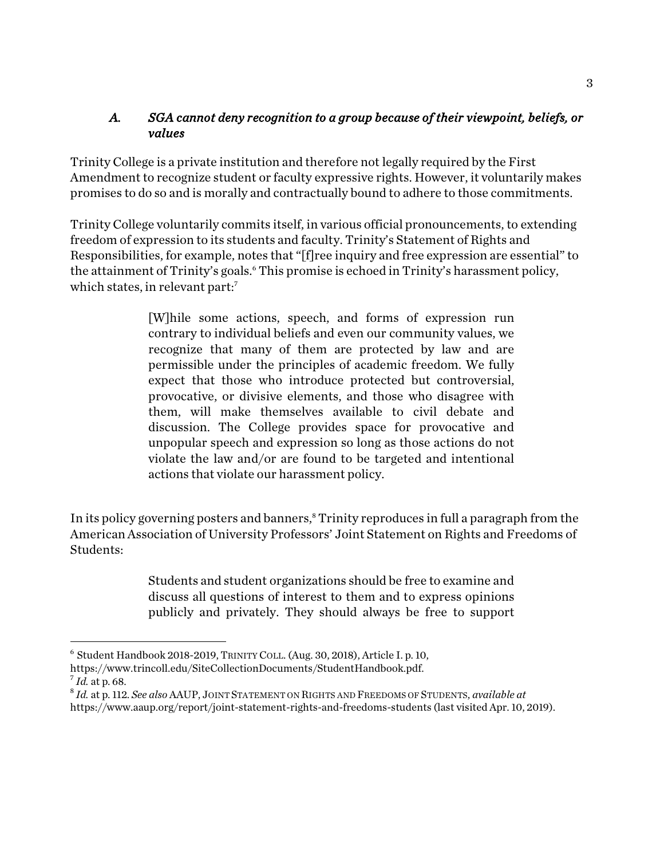## *A. SGA cannot deny recognition to a group because of their viewpoint, beliefs, or values*

Trinity College is a private institution and therefore not legally required by the First Amendment to recognize student or faculty expressive rights. However, it voluntarily makes promises to do so and is morally and contractually bound to adhere to those commitments.

Trinity College voluntarily commits itself, in various official pronouncements, to extending freedom of expression to its students and faculty. Trinity's Statement of Rights and Responsibilities, for example, notes that "[f]ree inquiry and free expression are essential" to the attainment of Trinity's goals.<sup>6</sup> This promise is echoed in Trinity's harassment policy, which states, in relevant part:<sup>7</sup>

> [W]hile some actions, speech, and forms of expression run contrary to individual beliefs and even our community values, we recognize that many of them are protected by law and are permissible under the principles of academic freedom. We fully expect that those who introduce protected but controversial, provocative, or divisive elements, and those who disagree with them, will make themselves available to civil debate and discussion. The College provides space for provocative and unpopular speech and expression so long as those actions do not violate the law and/or are found to be targeted and intentional actions that violate our harassment policy.

In its policy governing posters and banners,<sup>8</sup> Trinity reproduces in full a paragraph from the American Association of University Professors' Joint Statement on Rights and Freedoms of Students:

> Students and student organizations should be free to examine and discuss all questions of interest to them and to express opinions publicly and privately. They should always be free to support

 $\overline{a}$ 

<sup>6</sup> Student Handbook 2018-2019, TRINITY COLL. (Aug. 30, 2018), Article I. p. 10,

https://www.trincoll.edu/SiteCollectionDocuments/StudentHandbook.pdf.  $^7$ *Id.* at p. 68.

<sup>8</sup> *Id.* at p. 112. *See also* AAUP, JOINT STATEMENT ON RIGHTS AND FREEDOMS OF STUDENTS, *available at* 

https://www.aaup.org/report/joint-statement-rights-and-freedoms-students (last visited Apr. 10, 2019).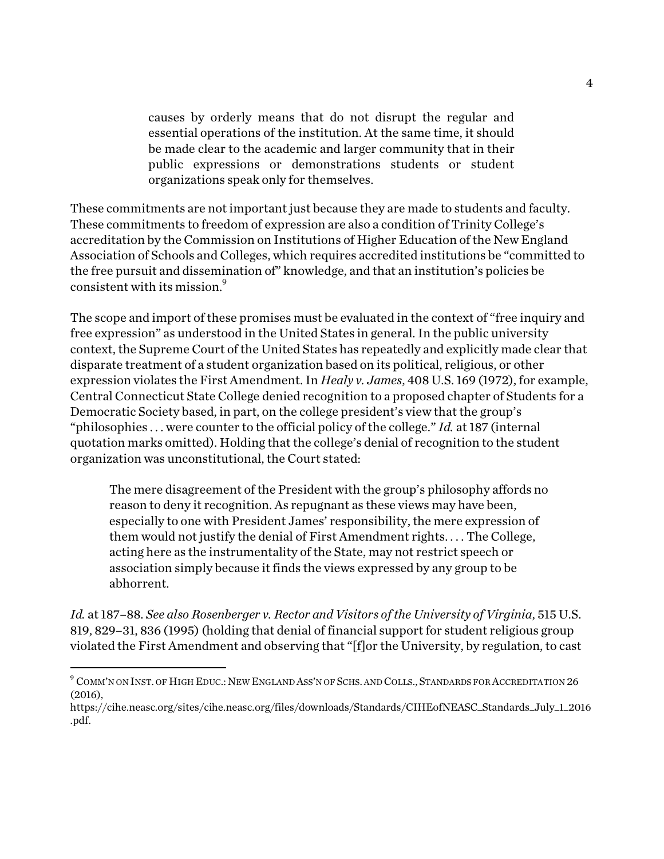causes by orderly means that do not disrupt the regular and essential operations of the institution. At the same time, it should be made clear to the academic and larger community that in their public expressions or demonstrations students or student organizations speak only for themselves.

These commitments are not important just because they are made to students and faculty. These commitments to freedom of expression are also a condition of Trinity College's accreditation by the Commission on Institutions of Higher Education of the New England Association of Schools and Colleges, which requires accredited institutions be "committed to the free pursuit and dissemination of" knowledge, and that an institution's policies be consistent with its mission.<sup>9</sup>

The scope and import of these promises must be evaluated in the context of "free inquiry and free expression" as understood in the United States in general. In the public university context, the Supreme Court of the United States has repeatedly and explicitly made clear that disparate treatment of a student organization based on its political, religious, or other expression violates the First Amendment. In *Healy v. James*, 408 U.S. 169 (1972), for example, Central Connecticut State College denied recognition to a proposed chapter of Students for a Democratic Society based, in part, on the college president's view that the group's "philosophies . . . were counter to the official policy of the college." *Id.* at 187 (internal quotation marks omitted). Holding that the college's denial of recognition to the student organization was unconstitutional, the Court stated:

The mere disagreement of the President with the group's philosophy affords no reason to deny it recognition. As repugnant as these views may have been, especially to one with President James' responsibility, the mere expression of them would not justify the denial of First Amendment rights. . . . The College, acting here as the instrumentality of the State, may not restrict speech or association simply because it finds the views expressed by any group to be abhorrent.

*Id.* at 187–88. *See also Rosenberger v. Rector and Visitors of the University of Virginia*, 515 U.S. 819, 829–31, 836 (1995) (holding that denial of financial support for student religious group violated the First Amendment and observing that "[f]or the University, by regulation, to cast

 $\overline{a}$ 

 $^9$  Comm'n on Inst. of High Educ.: New England Ass'n of Schs. and Colls., Standards for Accreditation 26 (2016),

https://cihe.neasc.org/sites/cihe.neasc.org/files/downloads/Standards/CIHEofNEASC\_Standards\_July\_1\_2016 .pdf.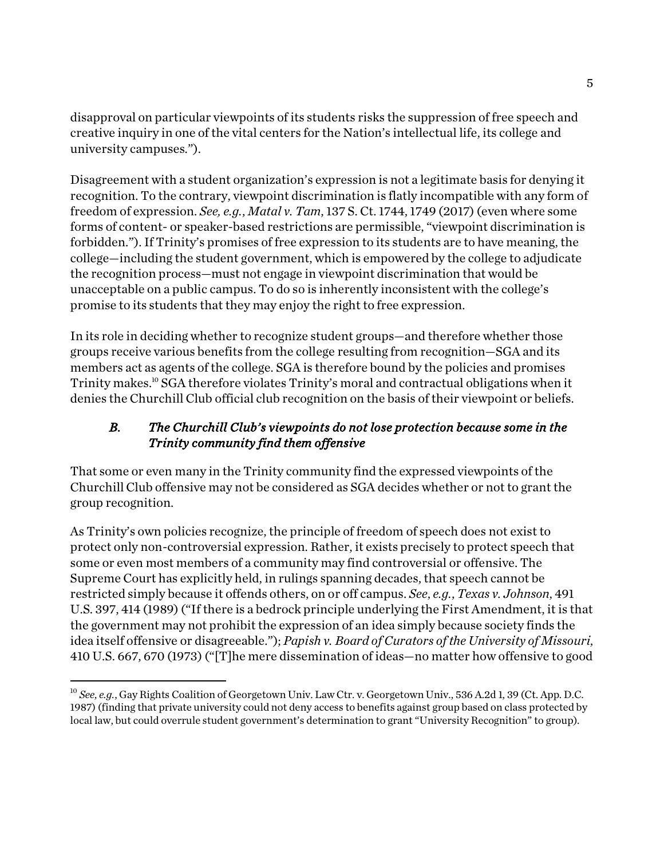disapproval on particular viewpoints of its students risks the suppression of free speech and creative inquiry in one of the vital centers for the Nation's intellectual life, its college and university campuses.").

Disagreement with a student organization's expression is not a legitimate basis for denying it recognition. To the contrary, viewpoint discrimination is flatly incompatible with any form of freedom of expression. *See, e.g.*, *Matal v. Tam*, 137 S. Ct. 1744, 1749 (2017) (even where some forms of content- or speaker-based restrictions are permissible, "viewpoint discrimination is forbidden."). If Trinity's promises of free expression to its students are to have meaning, the college—including the student government, which is empowered by the college to adjudicate the recognition process—must not engage in viewpoint discrimination that would be unacceptable on a public campus. To do so is inherently inconsistent with the college's promise to its students that they may enjoy the right to free expression.

In its role in deciding whether to recognize student groups—and therefore whether those groups receive various benefits from the college resulting from recognition—SGA and its members act as agents of the college. SGA is therefore bound by the policies and promises Trinity makes.<sup>10</sup> SGA therefore violates Trinity's moral and contractual obligations when it denies the Churchill Club official club recognition on the basis of their viewpoint or beliefs.

# *B. The Churchill Club's viewpoints do not lose protection because some in the Trinity community find them offensive*

That some or even many in the Trinity community find the expressed viewpoints of the Churchill Club offensive may not be considered as SGA decides whether or not to grant the group recognition.

As Trinity's own policies recognize, the principle of freedom of speech does not exist to protect only non-controversial expression. Rather, it exists precisely to protect speech that some or even most members of a community may find controversial or offensive. The Supreme Court has explicitly held, in rulings spanning decades, that speech cannot be restricted simply because it offends others, on or off campus. *See*, *e.g.*, *Texas v. Johnson*, 491 U.S. 397, 414 (1989) ("If there is a bedrock principle underlying the First Amendment, it is that the government may not prohibit the expression of an idea simply because society finds the idea itself offensive or disagreeable."); *Papish v. Board of Curators of the University of Missouri*, 410 U.S. 667, 670 (1973) ("[T]he mere dissemination of ideas—no matter how offensive to good

 $\overline{a}$ 

<sup>10</sup> *See*, *e.g.*, Gay Rights Coalition of Georgetown Univ. Law Ctr. v. Georgetown Univ., 536 A.2d 1, 39 (Ct. App. D.C. 1987) (finding that private university could not deny access to benefits against group based on class protected by local law, but could overrule student government's determination to grant "University Recognition" to group).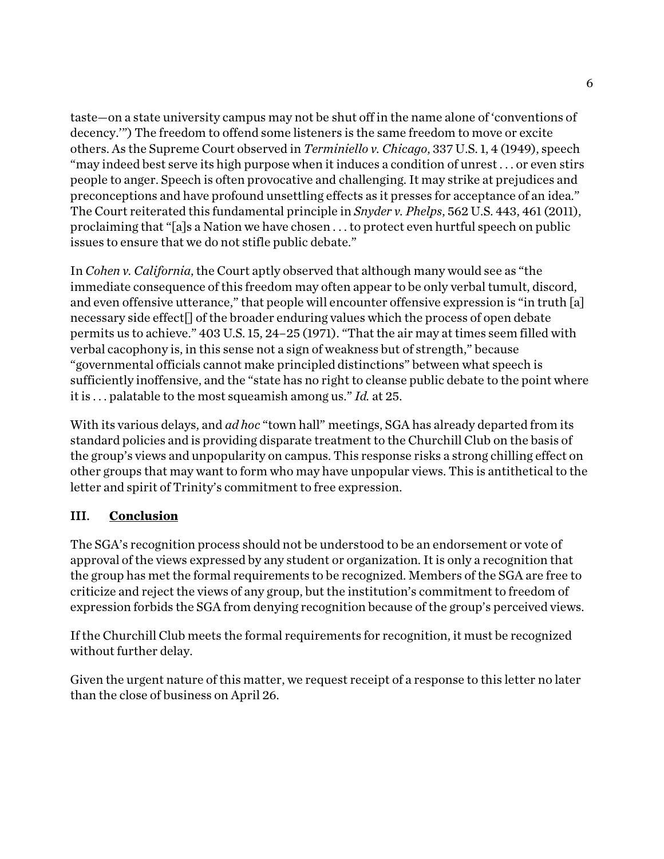taste—on a state university campus may not be shut off in the name alone of 'conventions of decency.'") The freedom to offend some listeners is the same freedom to move or excite others. As the Supreme Court observed in *Terminiello v. Chicago*, 337 U.S. 1, 4 (1949), speech "may indeed best serve its high purpose when it induces a condition of unrest . . . or even stirs people to anger. Speech is often provocative and challenging. It may strike at prejudices and preconceptions and have profound unsettling effects as it presses for acceptance of an idea." The Court reiterated this fundamental principle in *Snyder v. Phelps*, 562 U.S. 443, 461 (2011), proclaiming that "[a]s a Nation we have chosen . . . to protect even hurtful speech on public issues to ensure that we do not stifle public debate."

In *Cohen v. California*, the Court aptly observed that although many would see as "the immediate consequence of this freedom may often appear to be only verbal tumult, discord, and even offensive utterance," that people will encounter offensive expression is "in truth [a] necessary side effect[] of the broader enduring values which the process of open debate permits us to achieve." 403 U.S. 15, 24–25 (1971). "That the air may at times seem filled with verbal cacophony is, in this sense not a sign of weakness but of strength," because "governmental officials cannot make principled distinctions" between what speech is sufficiently inoffensive, and the "state has no right to cleanse public debate to the point where it is . . . palatable to the most squeamish among us." *Id.* at 25.

With its various delays, and *ad hoc* "town hall" meetings, SGA has already departed from its standard policies and is providing disparate treatment to the Churchill Club on the basis of the group's views and unpopularity on campus. This response risks a strong chilling effect on other groups that may want to form who may have unpopular views. This is antithetical to the letter and spirit of Trinity's commitment to free expression.

## III. **Conclusion**

The SGA's recognition process should not be understood to be an endorsement or vote of approval of the views expressed by any student or organization. It is only a recognition that the group has met the formal requirements to be recognized. Members of the SGA are free to criticize and reject the views of any group, but the institution's commitment to freedom of expression forbids the SGA from denying recognition because of the group's perceived views.

If the Churchill Club meets the formal requirements for recognition, it must be recognized without further delay.

Given the urgent nature of this matter, we request receipt of a response to this letter no later than the close of business on April 26.